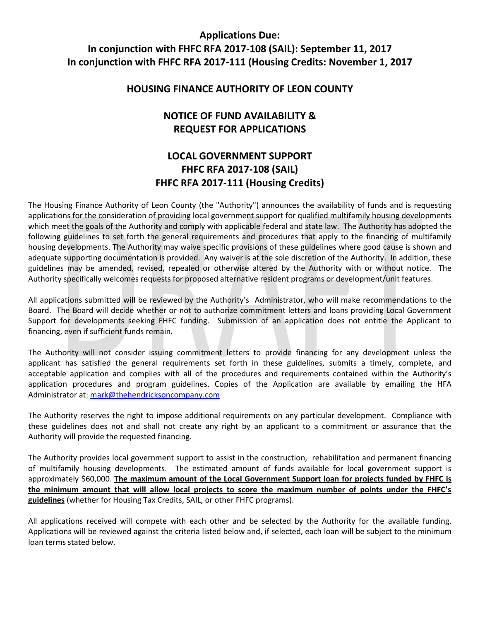## **Applications Due: In conjunction with FHFC RFA 2017-108 (SAIL): September 11, 2017 In conjunction with FHFC RFA 2017-111 (Housing Credits: November 1, 2017**

#### **HOUSING FINANCE AUTHORITY OF LEON COUNTY**

## **NOTICE OF FUND AVAILABILITY & REQUEST FOR APPLICATIONS**

# **LOCAL GOVERNMENT SUPPORT FHFC RFA 2017-108 (SAIL) FHFC RFA 2017-111 (Housing Credits)**

The Housing Finance Authority of Leon County (the "Authority") announces the availability of funds and is requesting applications for the consideration of providing local government support for qualified multifamily housing developments which meet the goals of the Authority and comply with applicable federal and state law. The Authority has adopted the following guidelines to set forth the general requirements and procedures that apply to the financing of multifamily housing developments. The Authority may waive specific provisions of these guidelines where good cause is shown and adequate supporting documentation is provided. Any waiver is at the sole discretion of the Authority. In addition, these guidelines may be amended, revised, repealed or otherwise altered by the Authority with or without notice. The Authority specifically welcomes requests for proposed alternative resident programs or development/unit features.

All applications submitted will be reviewed by the Authority's Administrator, who will make recommendations to the Board. The Board will decide whether or not to authorize commitment letters and loans providing Local Government Support for developments seeking FHFC funding. Submission of an application does not entitle the Applicant to financing, even if sufficient funds remain.

The Authority will not consider issuing commitment letters to provide financing for any development unless the applicant has satisfied the general requirements set forth in these guidelines, submits a timely, complete, and acceptable application and complies with all of the procedures and requirements contained within the Authority's application procedures and program guidelines. Copies of the Application are available by emailing the HFA Administrator at: [mark@thehendricksoncompany.com](mailto:mark@thehendricksoncompany.com)

The Authority reserves the right to impose additional requirements on any particular development. Compliance with these guidelines does not and shall not create any right by an applicant to a commitment or assurance that the Authority will provide the requested financing.

The Authority provides local government support to assist in the construction, rehabilitation and permanent financing of multifamily housing developments. The estimated amount of funds available for local government support is approximately \$60,000. **The maximum amount of the Local Government Support loan for projects funded by FHFC is the minimum amount that will allow local projects to score the maximum number of points under the FHFC's guidelines** (whether for Housing Tax Credits, SAIL, or other FHFC programs).

All applications received will compete with each other and be selected by the Authority for the available funding. Applications will be reviewed against the criteria listed below and, if selected, each loan will be subject to the minimum loan terms stated below.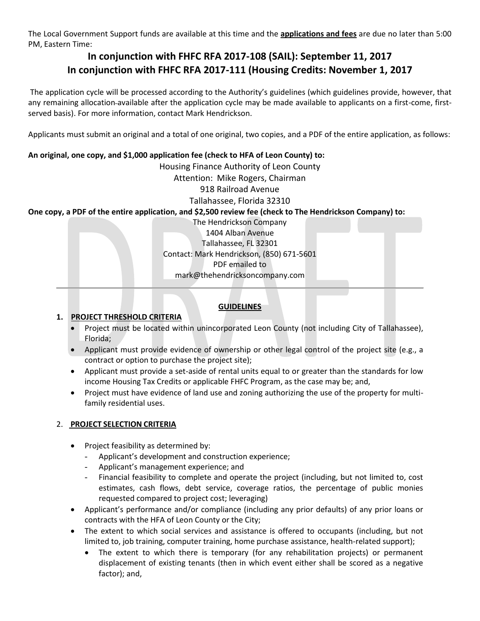The Local Government Support funds are available at this time and the **applications and fees** are due no later than 5:00 PM, Eastern Time:

# **In conjunction with FHFC RFA 2017-108 (SAIL): September 11, 2017 In conjunction with FHFC RFA 2017-111 (Housing Credits: November 1, 2017**

The application cycle will be processed according to the Authority's guidelines (which guidelines provide, however, that any remaining allocation available after the application cycle may be made available to applicants on a first-come, firstserved basis). For more information, contact Mark Hendrickson.

Applicants must submit an original and a total of one original, two copies, and a PDF of the entire application, as follows:

### **An original, one copy, and \$1,000 application fee (check to HFA of Leon County) to:**

Housing Finance Authority of Leon County

#### Attention: Mike Rogers, Chairman

#### 918 Railroad Avenue

Tallahassee, Florida 32310

#### **One copy, a PDF of the entire application, and \$2,500 review fee (check to The Hendrickson Company) to:**

The Hendrickson Company 1404 Alban Avenue Tallahassee, FL 32301 Contact: Mark Hendrickson, (850) 671-5601 PDF emailed to mark@thehendricksoncompany.com

### **GUIDELINES**

#### **1. PROJECT THRESHOLD CRITERIA**

- Project must be located within unincorporated Leon County (not including City of Tallahassee), Florida;
- Applicant must provide evidence of ownership or other legal control of the project site (e.g., a contract or option to purchase the project site);
- Applicant must provide a set-aside of rental units equal to or greater than the standards for low income Housing Tax Credits or applicable FHFC Program, as the case may be; and,
- Project must have evidence of land use and zoning authorizing the use of the property for multifamily residential uses.

## 2. **PROJECT SELECTION CRITERIA**

- Project feasibility as determined by:
	- Applicant's development and construction experience;
	- Applicant's management experience; and
	- Financial feasibility to complete and operate the project (including, but not limited to, cost estimates, cash flows, debt service, coverage ratios, the percentage of public monies requested compared to project cost; leveraging)
- Applicant's performance and/or compliance (including any prior defaults) of any prior loans or contracts with the HFA of Leon County or the City;
- The extent to which social services and assistance is offered to occupants (including, but not limited to, job training, computer training, home purchase assistance, health-related support);
	- The extent to which there is temporary (for any rehabilitation projects) or permanent displacement of existing tenants (then in which event either shall be scored as a negative factor); and,